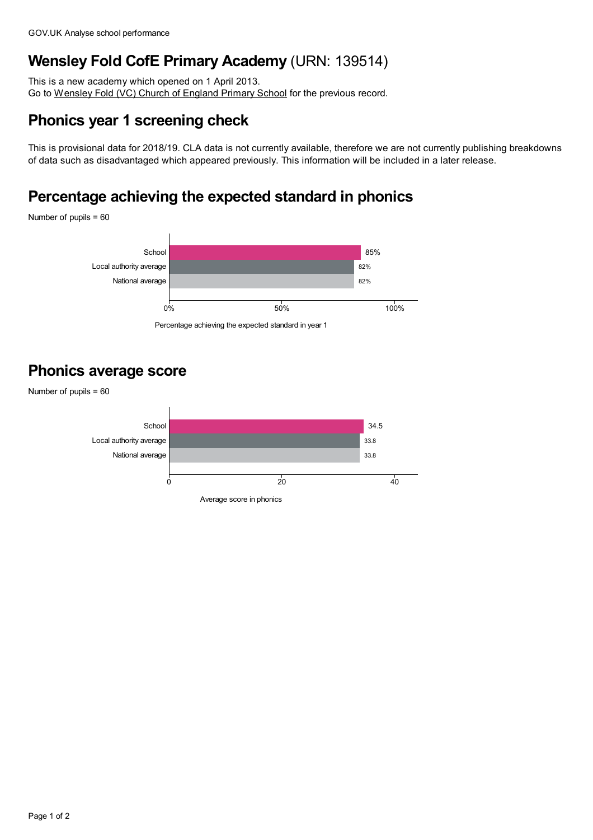## **Wensley Fold CofE Primary Academy** (URN: 139514)

This is a new academy which opened on 1 April 2013. Go to [Wensley](https://www.analyse-school-performance.service.gov.uk/School/Details/119412) Fold (VC) Church of England Primary School for the previous record.

### **Phonics year 1 screening check**

This is provisional data for 2018/19. CLA data is not currently available, therefore we are not currently publishing breakdowns of data such as disadvantaged which appeared previously. This information will be included in a later release.

# **Percentage achieving the expected standard in phonics**

Number of pupils = 60



Percentage achieving the expected standard in year 1

#### **Phonics average score**